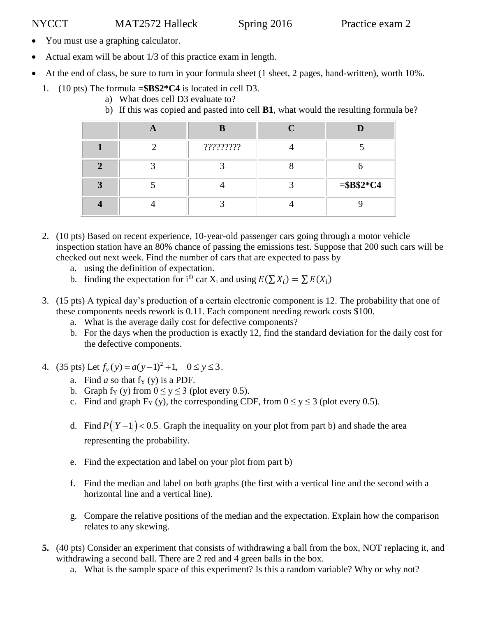- You must use a graphing calculator.
- Actual exam will be about 1/3 of this practice exam in length.
- At the end of class, be sure to turn in your formula sheet (1 sheet, 2 pages, hand-written), worth 10%.
	- 1. (10 pts) The formula **=\$B\$2\*C4** is located in cell D3.
		- a) What does cell D3 evaluate to?
		- b) If this was copied and pasted into cell **B1**, what would the resulting formula be?

|   | B         |             |
|---|-----------|-------------|
|   | ????????? |             |
|   |           |             |
| ∍ |           | $= $B$2*C4$ |
|   |           |             |

- 2. (10 pts) Based on recent experience, 10-year-old passenger cars going through a motor vehicle inspection station have an 80% chance of passing the emissions test. Suppose that 200 such cars will be checked out next week. Find the number of cars that are expected to pass by
	- a. using the definition of expectation.
	- b. finding the expectation for i<sup>th</sup> car  $X_i$  and using  $E(\sum X_i) = \sum E(X_i)$
- 3. (15 pts) A typical day's production of a certain electronic component is 12. The probability that one of these components needs rework is 0.11. Each component needing rework costs \$100.
	- a. What is the average daily cost for defective components?
	- b. For the days when the production is exactly 12, find the standard deviation for the daily cost for the defective components.
- 4. (35 pts) Let  $f_y(y) = a(y-1)^2$  $f_Y(y) = a(y-1)^2 + 1, \quad 0 \le y \le 3.$ 
	- a. Find  $a$  so that f<sub>Y</sub> (y) is a PDF.
	- b. Graph f<sub>Y</sub> (y) from  $0 \le y \le 3$  (plot every 0.5).
	- c. Find and graph  $F_Y(y)$ , the corresponding CDF, from  $0 \le y \le 3$  (plot every 0.5).
	- d. Find  $P(|Y-1|)$  < 0.5. Graph the inequality on your plot from part b) and shade the area representing the probability.
	- e. Find the expectation and label on your plot from part b)
	- f. Find the median and label on both graphs (the first with a vertical line and the second with a horizontal line and a vertical line).
	- g. Compare the relative positions of the median and the expectation. Explain how the comparison relates to any skewing.
- **5.** (40 pts) Consider an experiment that consists of withdrawing a ball from the box, NOT replacing it, and withdrawing a second ball. There are 2 red and 4 green balls in the box.
	- a. What is the sample space of this experiment? Is this a random variable? Why or why not?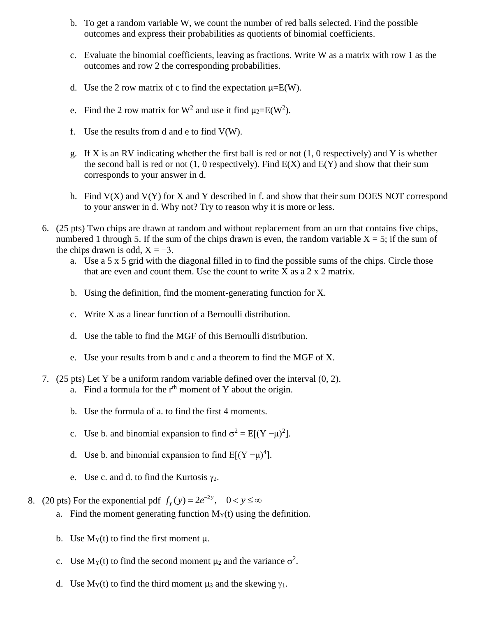- b. To get a random variable W, we count the number of red balls selected. Find the possible outcomes and express their probabilities as quotients of binomial coefficients.
- c. Evaluate the binomial coefficients, leaving as fractions. Write W as a matrix with row 1 as the outcomes and row 2 the corresponding probabilities.
- d. Use the 2 row matrix of c to find the expectation  $\mu = E(W)$ .
- e. Find the 2 row matrix for W<sup>2</sup> and use it find  $\mu_2 = E(W^2)$ .
- f. Use the results from d and e to find  $V(W)$ .
- g. If X is an RV indicating whether the first ball is red or not  $(1, 0$  respectively) and Y is whether the second ball is red or not  $(1, 0$  respectively). Find  $E(X)$  and  $E(Y)$  and show that their sum corresponds to your answer in d.
- h. Find  $V(X)$  and  $V(Y)$  for X and Y described in f. and show that their sum DOES NOT correspond to your answer in d. Why not? Try to reason why it is more or less.
- 6. (25 pts) Two chips are drawn at random and without replacement from an urn that contains five chips, numbered 1 through 5. If the sum of the chips drawn is even, the random variable  $X = 5$ ; if the sum of the chips drawn is odd,  $X = -3$ .
	- a. Use a 5 x 5 grid with the diagonal filled in to find the possible sums of the chips. Circle those that are even and count them. Use the count to write  $X$  as a  $2 \times 2$  matrix.
	- b. Using the definition, find the moment-generating function for X.
	- c. Write X as a linear function of a Bernoulli distribution.
	- d. Use the table to find the MGF of this Bernoulli distribution.
	- e. Use your results from b and c and a theorem to find the MGF of X.
- 7. (25 pts) Let Y be a uniform random variable defined over the interval (0, 2). a. Find a formula for the  $r<sup>th</sup>$  moment of Y about the origin.
	- b. Use the formula of a. to find the first 4 moments.
	- c. Use b. and binomial expansion to find  $\sigma^2 = E[(Y \mu)^2]$ .
	- d. Use b. and binomial expansion to find  $E[(Y \mu)^4]$ .
	- e. Use c. and d. to find the Kurtosis  $\gamma_2$ .
- 8. (20 pts) For the exponential pdf  $f_y(y) = 2e^{-2y}$ ,  $0 < y \le \infty$ 
	- a. Find the moment generating function  $M_Y(t)$  using the definition.
	- b. Use  $M_Y(t)$  to find the first moment  $\mu$ .
	- c. Use  $M_Y(t)$  to find the second moment  $\mu_2$  and the variance  $\sigma^2$ .
	- d. Use  $M_Y(t)$  to find the third moment  $\mu_3$  and the skewing  $\gamma_1$ .